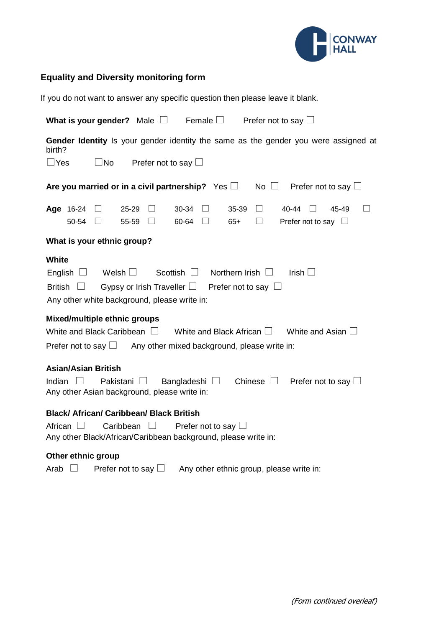

## **Equality and Diversity monitoring form**

| If you do not want to answer any specific question then please leave it blank.                                                                                                                                                                          |
|---------------------------------------------------------------------------------------------------------------------------------------------------------------------------------------------------------------------------------------------------------|
| Female $\square$<br>What is your gender? Male $\square$<br>Prefer not to say $\square$                                                                                                                                                                  |
| Gender Identity Is your gender identity the same as the gender you were assigned at<br>birth?                                                                                                                                                           |
| $\Box$ Yes<br>$\square$ No<br>Prefer not to say $\square$                                                                                                                                                                                               |
| Are you married or in a civil partnership? Yes $\Box$<br>No $\Box$<br>Prefer not to say $\Box$                                                                                                                                                          |
| Age 16-24<br>30-34<br>$\Box$<br>$\Box$<br>$25 - 29$<br>$\Box$<br>35-39<br>40-44<br>$\Box$<br>45-49<br>ш<br>$\mathcal{L}$<br>50-54<br>55-59 □<br>60-64 $\Box$<br>$\Box$<br>Prefer not to say $\square$<br>$\Box$<br>$65+$                                |
| What is your ethnic group?                                                                                                                                                                                                                              |
| <b>White</b><br>Welsh $\square$<br>Northern Irish $\Box$<br>Irish $\square$<br>English $\Box$<br>Scottish $\Box$<br>British $\square$<br>Gypsy or Irish Traveller $\square$ Prefer not to say $\square$<br>Any other white background, please write in: |
| Mixed/multiple ethnic groups<br>White and Black Caribbean $\Box$<br>White and Black African $\Box$<br>White and Asian $\square$<br>Prefer not to say $\Box$ Any other mixed background, please write in:                                                |
| <b>Asian/Asian British</b><br>Prefer not to say $\square$<br>Indian<br>Pakistani $\Box$<br>Bangladeshi $\Box$<br>Chinese $\Box$<br>Any other Asian background, please write in:                                                                         |
| <b>Black/ African/ Caribbean/ Black British</b><br>African ∐<br>Prefer not to say $\square$<br>Caribbean<br>$\perp$<br>Any other Black/African/Caribbean background, please write in:                                                                   |
| Other ethnic group                                                                                                                                                                                                                                      |
| Any other ethnic group, please write in:<br>Arab<br>$\perp$<br>Prefer not to say $\Box$                                                                                                                                                                 |